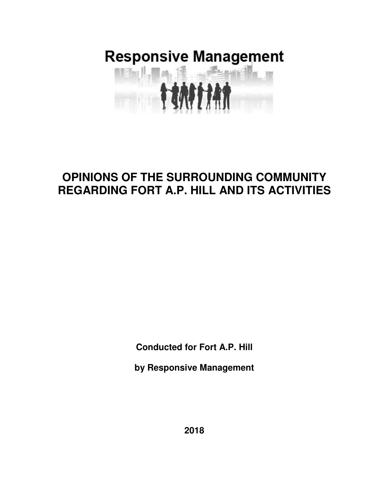# **Responsive Management Milia** I

## **OPINIONS OF THE SURROUNDING COMMUNITY REGARDING FORT A.P. HILL AND ITS ACTIVITIES**

**Conducted for Fort A.P. Hill** 

**by Responsive Management** 

**2018**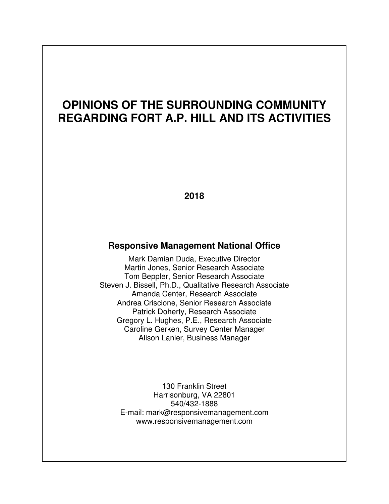# **OPINIONS OF THE SURROUNDING COMMUNITY REGARDING FORT A.P. HILL AND ITS ACTIVITIES**

**2018** 

#### **Responsive Management National Office**

Mark Damian Duda, Executive Director Martin Jones, Senior Research Associate Tom Beppler, Senior Research Associate Steven J. Bissell, Ph.D., Qualitative Research Associate Amanda Center, Research Associate Andrea Criscione, Senior Research Associate Patrick Doherty, Research Associate Gregory L. Hughes, P.E., Research Associate Caroline Gerken, Survey Center Manager Alison Lanier, Business Manager

> 130 Franklin Street Harrisonburg, VA 22801 540/432-1888 E-mail: mark@responsivemanagement.com www.responsivemanagement.com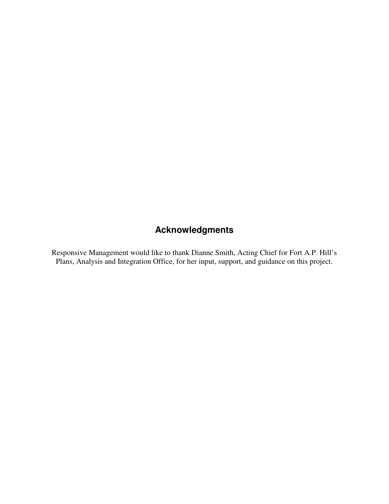## **Acknowledgments**

Responsive Management would like to thank Dianne Smith, Acting Chief for Fort A.P. Hill's Plans, Analysis and Integration Office, for her input, support, and guidance on this project.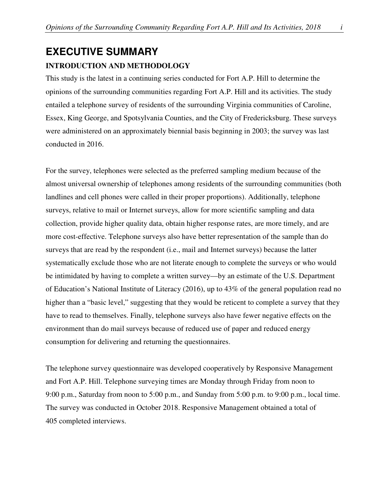## **EXECUTIVE SUMMARY INTRODUCTION AND METHODOLOGY**

This study is the latest in a continuing series conducted for Fort A.P. Hill to determine the opinions of the surrounding communities regarding Fort A.P. Hill and its activities. The study entailed a telephone survey of residents of the surrounding Virginia communities of Caroline, Essex, King George, and Spotsylvania Counties, and the City of Fredericksburg. These surveys were administered on an approximately biennial basis beginning in 2003; the survey was last conducted in 2016.

For the survey, telephones were selected as the preferred sampling medium because of the almost universal ownership of telephones among residents of the surrounding communities (both landlines and cell phones were called in their proper proportions). Additionally, telephone surveys, relative to mail or Internet surveys, allow for more scientific sampling and data collection, provide higher quality data, obtain higher response rates, are more timely, and are more cost-effective. Telephone surveys also have better representation of the sample than do surveys that are read by the respondent (i.e., mail and Internet surveys) because the latter systematically exclude those who are not literate enough to complete the surveys or who would be intimidated by having to complete a written survey—by an estimate of the U.S. Department of Education's National Institute of Literacy (2016), up to 43% of the general population read no higher than a "basic level," suggesting that they would be reticent to complete a survey that they have to read to themselves. Finally, telephone surveys also have fewer negative effects on the environment than do mail surveys because of reduced use of paper and reduced energy consumption for delivering and returning the questionnaires.

The telephone survey questionnaire was developed cooperatively by Responsive Management and Fort A.P. Hill. Telephone surveying times are Monday through Friday from noon to 9:00 p.m., Saturday from noon to 5:00 p.m., and Sunday from 5:00 p.m. to 9:00 p.m., local time. The survey was conducted in October 2018. Responsive Management obtained a total of 405 completed interviews.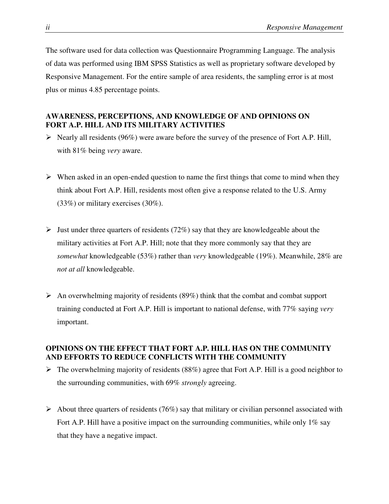The software used for data collection was Questionnaire Programming Language. The analysis of data was performed using IBM SPSS Statistics as well as proprietary software developed by Responsive Management. For the entire sample of area residents, the sampling error is at most plus or minus 4.85 percentage points.

#### **AWARENESS, PERCEPTIONS, AND KNOWLEDGE OF AND OPINIONS ON FORT A.P. HILL AND ITS MILITARY ACTIVITIES**

- $\triangleright$  Nearly all residents (96%) were aware before the survey of the presence of Fort A.P. Hill, with 81% being *very* aware.
- $\triangleright$  When asked in an open-ended question to name the first things that come to mind when they think about Fort A.P. Hill, residents most often give a response related to the U.S. Army (33%) or military exercises (30%).
- $\triangleright$  Just under three quarters of residents (72%) say that they are knowledgeable about the military activities at Fort A.P. Hill; note that they more commonly say that they are *somewhat* knowledgeable (53%) rather than *very* knowledgeable (19%). Meanwhile, 28% are *not at all* knowledgeable.
- $\triangleright$  An overwhelming majority of residents (89%) think that the combat and combat support training conducted at Fort A.P. Hill is important to national defense, with 77% saying *very* important.

#### **OPINIONS ON THE EFFECT THAT FORT A.P. HILL HAS ON THE COMMUNITY AND EFFORTS TO REDUCE CONFLICTS WITH THE COMMUNITY**

- $\triangleright$  The overwhelming majority of residents (88%) agree that Fort A.P. Hill is a good neighbor to the surrounding communities, with 69% *strongly* agreeing.
- $\triangleright$  About three quarters of residents (76%) say that military or civilian personnel associated with Fort A.P. Hill have a positive impact on the surrounding communities, while only 1% say that they have a negative impact.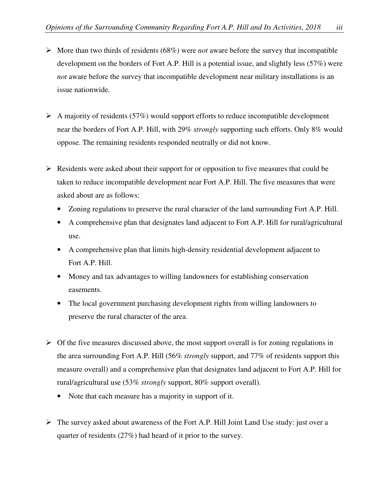- $\triangleright$  More than two thirds of residents (68%) were *not* aware before the survey that incompatible development on the borders of Fort A.P. Hill is a potential issue, and slightly less (57%) were *not* aware before the survey that incompatible development near military installations is an issue nationwide.
- $\triangleright$  A majority of residents (57%) would support efforts to reduce incompatible development near the borders of Fort A.P. Hill, with 29% *strongly* supporting such efforts. Only 8% would oppose. The remaining residents responded neutrally or did not know.
- $\triangleright$  Residents were asked about their support for or opposition to five measures that could be taken to reduce incompatible development near Fort A.P. Hill. The five measures that were asked about are as follows:
	- Zoning regulations to preserve the rural character of the land surrounding Fort A.P. Hill.
	- A comprehensive plan that designates land adjacent to Fort A.P. Hill for rural/agricultural use.
	- A comprehensive plan that limits high-density residential development adjacent to Fort A.P. Hill.
	- Money and tax advantages to willing landowners for establishing conservation easements.
	- The local government purchasing development rights from willing landowners to preserve the rural character of the area.
- $\triangleright$  Of the five measures discussed above, the most support overall is for zoning regulations in the area surrounding Fort A.P. Hill (56% *strongly* support, and 77% of residents support this measure overall) and a comprehensive plan that designates land adjacent to Fort A.P. Hill for rural/agricultural use (53% *strongly* support, 80% support overall).
	- Note that each measure has a majority in support of it.
- $\triangleright$  The survey asked about awareness of the Fort A.P. Hill Joint Land Use study: just over a quarter of residents (27%) had heard of it prior to the survey.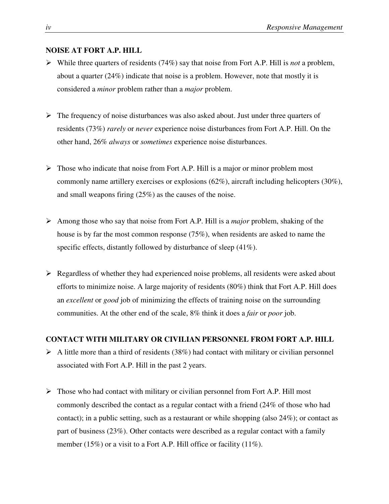#### **NOISE AT FORT A.P. HILL**

- While three quarters of residents (74%) say that noise from Fort A.P. Hill is *not* a problem, about a quarter (24%) indicate that noise is a problem. However, note that mostly it is considered a *minor* problem rather than a *major* problem.
- $\triangleright$  The frequency of noise disturbances was also asked about. Just under three quarters of residents (73%) *rarely* or *never* experience noise disturbances from Fort A.P. Hill. On the other hand, 26% *always* or *sometimes* experience noise disturbances.
- $\triangleright$  Those who indicate that noise from Fort A.P. Hill is a major or minor problem most commonly name artillery exercises or explosions (62%), aircraft including helicopters (30%), and small weapons firing (25%) as the causes of the noise.
- Among those who say that noise from Fort A.P. Hill is a *major* problem, shaking of the house is by far the most common response (75%), when residents are asked to name the specific effects, distantly followed by disturbance of sleep (41%).
- $\triangleright$  Regardless of whether they had experienced noise problems, all residents were asked about efforts to minimize noise. A large majority of residents (80%) think that Fort A.P. Hill does an *excellent* or *good* job of minimizing the effects of training noise on the surrounding communities. At the other end of the scale, 8% think it does a *fair* or *poor* job.

#### **CONTACT WITH MILITARY OR CIVILIAN PERSONNEL FROM FORT A.P. HILL**

- $\triangleright$  A little more than a third of residents (38%) had contact with military or civilian personnel associated with Fort A.P. Hill in the past 2 years.
- $\triangleright$  Those who had contact with military or civilian personnel from Fort A.P. Hill most commonly described the contact as a regular contact with a friend (24% of those who had contact); in a public setting, such as a restaurant or while shopping (also  $24\%$ ); or contact as part of business (23%). Other contacts were described as a regular contact with a family member (15%) or a visit to a Fort A.P. Hill office or facility (11%).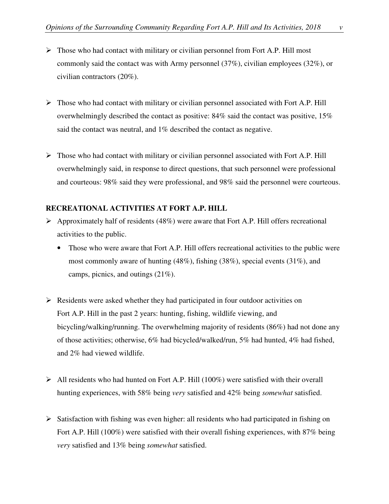- 
- $\triangleright$  Those who had contact with military or civilian personnel from Fort A.P. Hill most commonly said the contact was with Army personnel (37%), civilian employees (32%), or civilian contractors (20%).
- $\triangleright$  Those who had contact with military or civilian personnel associated with Fort A.P. Hill overwhelmingly described the contact as positive:  $84\%$  said the contact was positive,  $15\%$ said the contact was neutral, and 1% described the contact as negative.
- $\triangleright$  Those who had contact with military or civilian personnel associated with Fort A.P. Hill overwhelmingly said, in response to direct questions, that such personnel were professional and courteous: 98% said they were professional, and 98% said the personnel were courteous.

#### **RECREATIONAL ACTIVITIES AT FORT A.P. HILL**

- $\triangleright$  Approximately half of residents (48%) were aware that Fort A.P. Hill offers recreational activities to the public.
	- Those who were aware that Fort A.P. Hill offers recreational activities to the public were most commonly aware of hunting (48%), fishing (38%), special events (31%), and camps, picnics, and outings (21%).
- $\triangleright$  Residents were asked whether they had participated in four outdoor activities on Fort A.P. Hill in the past 2 years: hunting, fishing, wildlife viewing, and bicycling/walking/running. The overwhelming majority of residents (86%) had not done any of those activities; otherwise, 6% had bicycled/walked/run, 5% had hunted, 4% had fished, and 2% had viewed wildlife.
- $\triangleright$  All residents who had hunted on Fort A.P. Hill (100%) were satisfied with their overall hunting experiences, with 58% being *very* satisfied and 42% being *somewhat* satisfied.
- $\triangleright$  Satisfaction with fishing was even higher: all residents who had participated in fishing on Fort A.P. Hill (100%) were satisfied with their overall fishing experiences, with 87% being *very* satisfied and 13% being *somewhat* satisfied.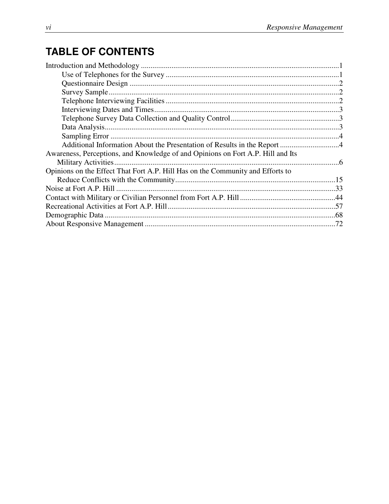# **TABLE OF CONTENTS**

| Awareness, Perceptions, and Knowledge of and Opinions on Fort A.P. Hill and Its |  |
|---------------------------------------------------------------------------------|--|
|                                                                                 |  |
| Opinions on the Effect That Fort A.P. Hill Has on the Community and Efforts to  |  |
|                                                                                 |  |
|                                                                                 |  |
|                                                                                 |  |
|                                                                                 |  |
|                                                                                 |  |
|                                                                                 |  |
|                                                                                 |  |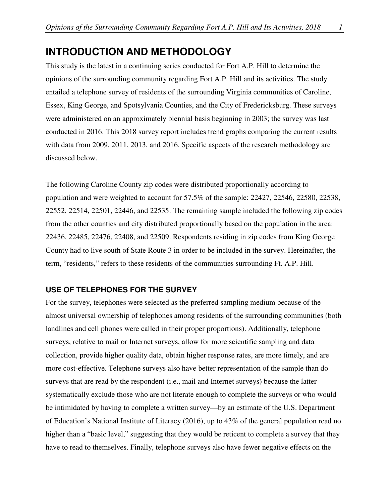## **INTRODUCTION AND METHODOLOGY**

This study is the latest in a continuing series conducted for Fort A.P. Hill to determine the opinions of the surrounding community regarding Fort A.P. Hill and its activities. The study entailed a telephone survey of residents of the surrounding Virginia communities of Caroline, Essex, King George, and Spotsylvania Counties, and the City of Fredericksburg. These surveys were administered on an approximately biennial basis beginning in 2003; the survey was last conducted in 2016. This 2018 survey report includes trend graphs comparing the current results with data from 2009, 2011, 2013, and 2016. Specific aspects of the research methodology are discussed below.

The following Caroline County zip codes were distributed proportionally according to population and were weighted to account for 57.5% of the sample: 22427, 22546, 22580, 22538, 22552, 22514, 22501, 22446, and 22535. The remaining sample included the following zip codes from the other counties and city distributed proportionally based on the population in the area: 22436, 22485, 22476, 22408, and 22509. Respondents residing in zip codes from King George County had to live south of State Route 3 in order to be included in the survey. Hereinafter, the term, "residents," refers to these residents of the communities surrounding Ft. A.P. Hill.

#### **USE OF TELEPHONES FOR THE SURVEY**

For the survey, telephones were selected as the preferred sampling medium because of the almost universal ownership of telephones among residents of the surrounding communities (both landlines and cell phones were called in their proper proportions). Additionally, telephone surveys, relative to mail or Internet surveys, allow for more scientific sampling and data collection, provide higher quality data, obtain higher response rates, are more timely, and are more cost-effective. Telephone surveys also have better representation of the sample than do surveys that are read by the respondent (i.e., mail and Internet surveys) because the latter systematically exclude those who are not literate enough to complete the surveys or who would be intimidated by having to complete a written survey—by an estimate of the U.S. Department of Education's National Institute of Literacy (2016), up to 43% of the general population read no higher than a "basic level," suggesting that they would be reticent to complete a survey that they have to read to themselves. Finally, telephone surveys also have fewer negative effects on the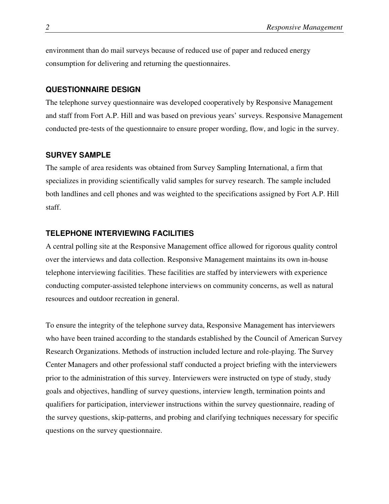environment than do mail surveys because of reduced use of paper and reduced energy consumption for delivering and returning the questionnaires.

#### **QUESTIONNAIRE DESIGN**

The telephone survey questionnaire was developed cooperatively by Responsive Management and staff from Fort A.P. Hill and was based on previous years' surveys. Responsive Management conducted pre-tests of the questionnaire to ensure proper wording, flow, and logic in the survey.

#### **SURVEY SAMPLE**

The sample of area residents was obtained from Survey Sampling International, a firm that specializes in providing scientifically valid samples for survey research. The sample included both landlines and cell phones and was weighted to the specifications assigned by Fort A.P. Hill staff.

#### **TELEPHONE INTERVIEWING FACILITIES**

A central polling site at the Responsive Management office allowed for rigorous quality control over the interviews and data collection. Responsive Management maintains its own in-house telephone interviewing facilities. These facilities are staffed by interviewers with experience conducting computer-assisted telephone interviews on community concerns, as well as natural resources and outdoor recreation in general.

To ensure the integrity of the telephone survey data, Responsive Management has interviewers who have been trained according to the standards established by the Council of American Survey Research Organizations. Methods of instruction included lecture and role-playing. The Survey Center Managers and other professional staff conducted a project briefing with the interviewers prior to the administration of this survey. Interviewers were instructed on type of study, study goals and objectives, handling of survey questions, interview length, termination points and qualifiers for participation, interviewer instructions within the survey questionnaire, reading of the survey questions, skip-patterns, and probing and clarifying techniques necessary for specific questions on the survey questionnaire.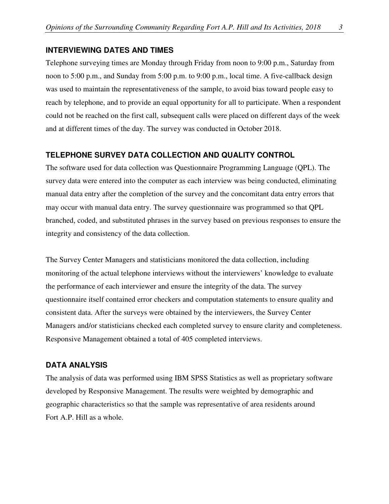#### **INTERVIEWING DATES AND TIMES**

Telephone surveying times are Monday through Friday from noon to 9:00 p.m., Saturday from noon to 5:00 p.m., and Sunday from 5:00 p.m. to 9:00 p.m., local time. A five-callback design was used to maintain the representativeness of the sample, to avoid bias toward people easy to reach by telephone, and to provide an equal opportunity for all to participate. When a respondent could not be reached on the first call, subsequent calls were placed on different days of the week and at different times of the day. The survey was conducted in October 2018.

#### **TELEPHONE SURVEY DATA COLLECTION AND QUALITY CONTROL**

The software used for data collection was Questionnaire Programming Language (QPL). The survey data were entered into the computer as each interview was being conducted, eliminating manual data entry after the completion of the survey and the concomitant data entry errors that may occur with manual data entry. The survey questionnaire was programmed so that QPL branched, coded, and substituted phrases in the survey based on previous responses to ensure the integrity and consistency of the data collection.

The Survey Center Managers and statisticians monitored the data collection, including monitoring of the actual telephone interviews without the interviewers' knowledge to evaluate the performance of each interviewer and ensure the integrity of the data. The survey questionnaire itself contained error checkers and computation statements to ensure quality and consistent data. After the surveys were obtained by the interviewers, the Survey Center Managers and/or statisticians checked each completed survey to ensure clarity and completeness. Responsive Management obtained a total of 405 completed interviews.

#### **DATA ANALYSIS**

The analysis of data was performed using IBM SPSS Statistics as well as proprietary software developed by Responsive Management. The results were weighted by demographic and geographic characteristics so that the sample was representative of area residents around Fort A.P. Hill as a whole.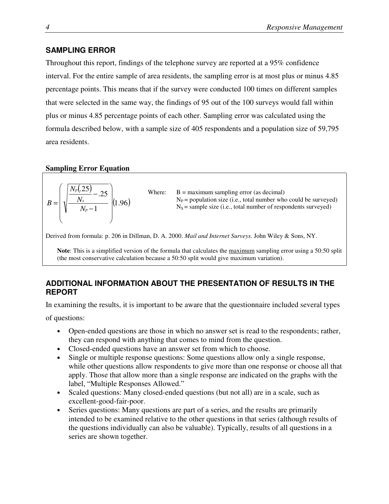#### **SAMPLING ERROR**

Throughout this report, findings of the telephone survey are reported at a 95% confidence interval. For the entire sample of area residents, the sampling error is at most plus or minus 4.85 percentage points. This means that if the survey were conducted 100 times on different samples that were selected in the same way, the findings of 95 out of the 100 surveys would fall within plus or minus 4.85 percentage points of each other. Sampling error was calculated using the formula described below, with a sample size of 405 respondents and a population size of 59,795 area residents.

#### **Sampling Error Equation**



Derived from formula: p. 206 in Dillman, D. A. 2000. *Mail and Internet Surveys*. John Wiley & Sons, NY.

**Note**: This is a simplified version of the formula that calculates the maximum sampling error using a 50:50 split (the most conservative calculation because a 50:50 split would give maximum variation).

#### **ADDITIONAL INFORMATION ABOUT THE PRESENTATION OF RESULTS IN THE REPORT**

In examining the results, it is important to be aware that the questionnaire included several types

of questions:

- Open-ended questions are those in which no answer set is read to the respondents; rather, they can respond with anything that comes to mind from the question.
- Closed-ended questions have an answer set from which to choose.
- Single or multiple response questions: Some questions allow only a single response, while other questions allow respondents to give more than one response or choose all that apply. Those that allow more than a single response are indicated on the graphs with the label, "Multiple Responses Allowed."
- Scaled questions: Many closed-ended questions (but not all) are in a scale, such as excellent-good-fair-poor.
- Series questions: Many questions are part of a series, and the results are primarily intended to be examined relative to the other questions in that series (although results of the questions individually can also be valuable). Typically, results of all questions in a series are shown together.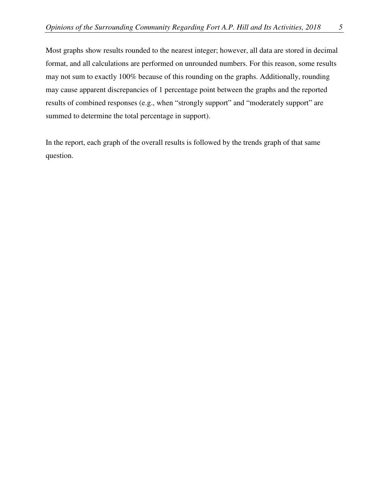Most graphs show results rounded to the nearest integer; however, all data are stored in decimal format, and all calculations are performed on unrounded numbers. For this reason, some results may not sum to exactly 100% because of this rounding on the graphs. Additionally, rounding may cause apparent discrepancies of 1 percentage point between the graphs and the reported results of combined responses (e.g., when "strongly support" and "moderately support" are summed to determine the total percentage in support).

In the report, each graph of the overall results is followed by the trends graph of that same question.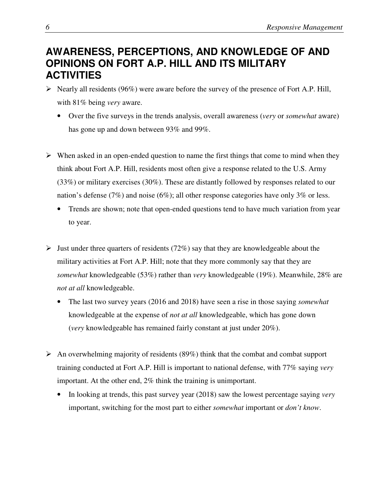## **AWARENESS, PERCEPTIONS, AND KNOWLEDGE OF AND OPINIONS ON FORT A.P. HILL AND ITS MILITARY ACTIVITIES**

- $\triangleright$  Nearly all residents (96%) were aware before the survey of the presence of Fort A.P. Hill, with 81% being *very* aware.
	- Over the five surveys in the trends analysis, overall awareness (*very* or *somewhat* aware) has gone up and down between 93% and 99%.
- $\triangleright$  When asked in an open-ended question to name the first things that come to mind when they think about Fort A.P. Hill, residents most often give a response related to the U.S. Army (33%) or military exercises (30%). These are distantly followed by responses related to our nation's defense (7%) and noise (6%); all other response categories have only 3% or less.
	- Trends are shown; note that open-ended questions tend to have much variation from year to year.
- $\triangleright$  Just under three quarters of residents (72%) say that they are knowledgeable about the military activities at Fort A.P. Hill; note that they more commonly say that they are *somewhat* knowledgeable (53%) rather than *very* knowledgeable (19%). Meanwhile, 28% are *not at all* knowledgeable.
	- The last two survey years (2016 and 2018) have seen a rise in those saying *somewhat* knowledgeable at the expense of *not at all* knowledgeable, which has gone down (*very* knowledgeable has remained fairly constant at just under 20%).
- An overwhelming majority of residents  $(89%)$  think that the combat and combat support training conducted at Fort A.P. Hill is important to national defense, with 77% saying *very* important. At the other end, 2% think the training is unimportant.
	- In looking at trends, this past survey year (2018) saw the lowest percentage saying *very* important, switching for the most part to either *somewhat* important or *don't know*.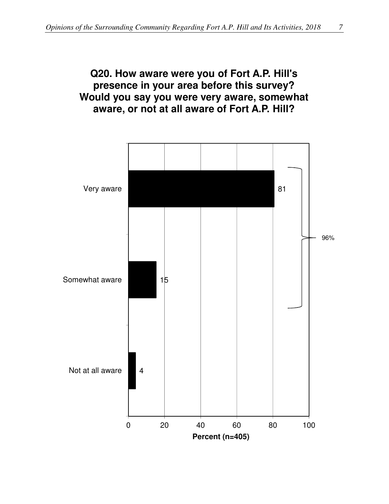## **Q20. How aware were you of Fort A.P. Hill's presence in your area before this survey? Would you say you were very aware, somewhat aware, or not at all aware of Fort A.P. Hill?**

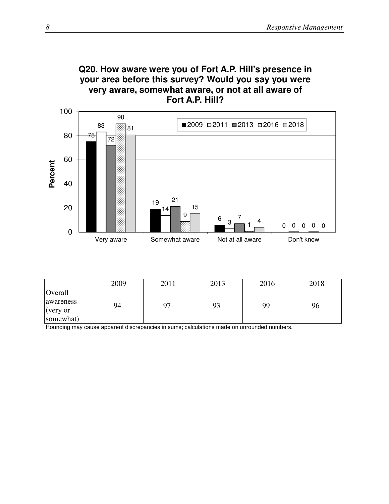



|                | 2009 | 2011 | 2013 | 2016 | 2018 |
|----------------|------|------|------|------|------|
| <b>Overall</b> |      |      |      |      |      |
| awareness      | 94   |      | 93   | 99   | 96   |
| (very or       |      |      |      |      |      |
| somewhat)      |      |      |      |      |      |

Rounding may cause apparent discrepancies in sums; calculations made on unrounded numbers.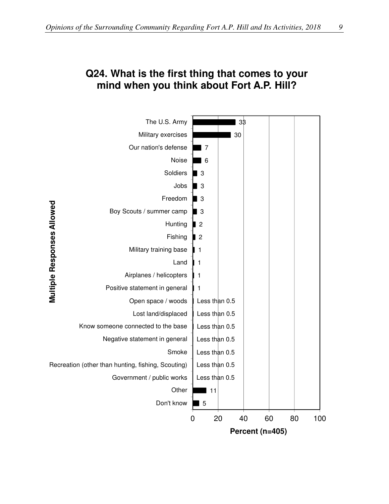## **Q24. What is the first thing that comes to your mind when you think about Fort A.P. Hill?**

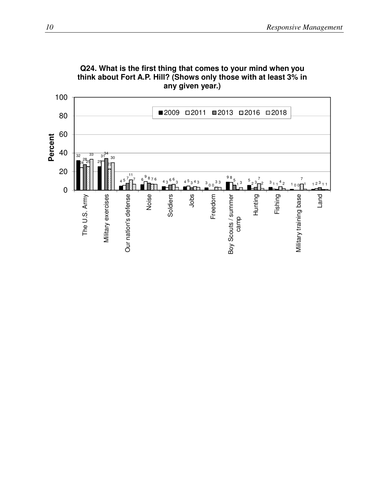

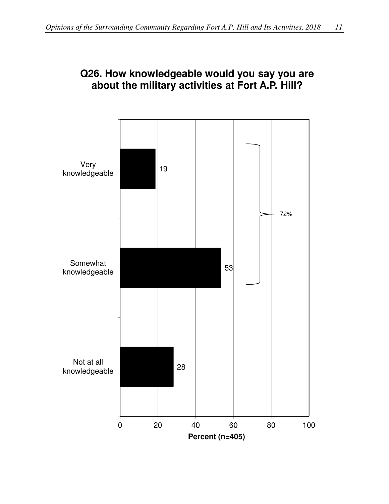

## **Q26. How knowledgeable would you say you are about the military activities at Fort A.P. Hill?**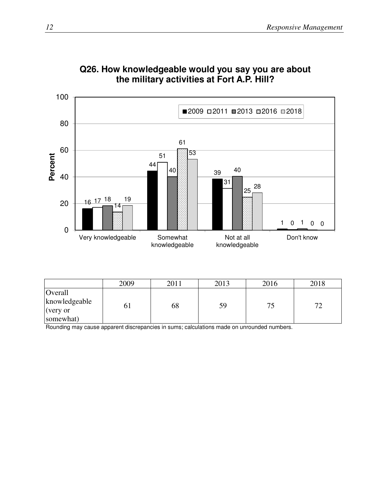

## **Q26. How knowledgeable would you say you are about the military activities at Fort A.P. Hill?**

|                                                   | 2009           | 2011 | 2013 | 2016 | 2018        |
|---------------------------------------------------|----------------|------|------|------|-------------|
| Overall<br>knowledgeable<br>(very or<br>somewhat) | 0 <sub>1</sub> | 68   | 59   |      | $7^{\circ}$ |

Rounding may cause apparent discrepancies in sums; calculations made on unrounded numbers.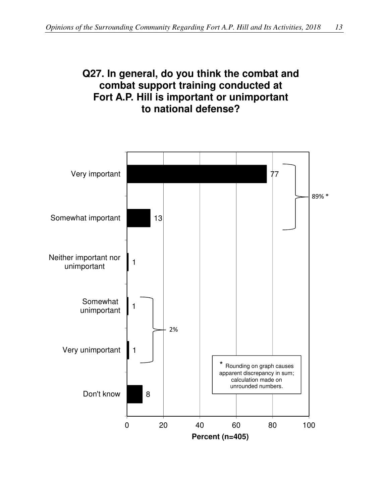## **Q27. In general, do you think the combat and combat support training conducted at Fort A.P. Hill is important or unimportant to national defense?**

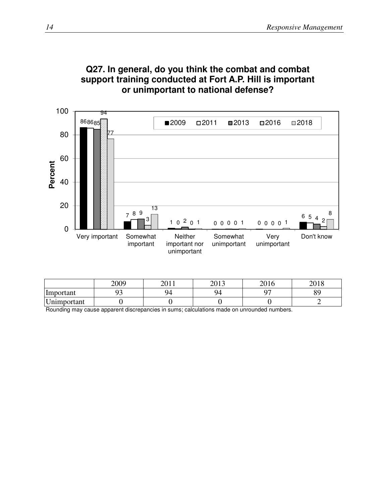

### **Q27. In general, do you think the combat and combat support training conducted at Fort A.P. Hill is important or unimportant to national defense?**

|             | 2009 | 2011 | 2012<br>201J | 301 C<br>2010 | 2010<br>2010 |
|-------------|------|------|--------------|---------------|--------------|
| Important   |      | 94   | 94           | ∩¬            | oσ           |
| Unimportant |      |      |              |               |              |

Rounding may cause apparent discrepancies in sums; calculations made on unrounded numbers.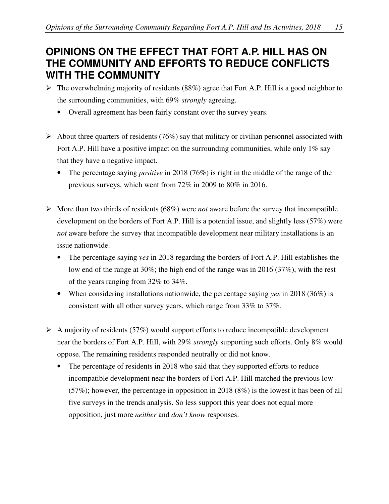## **OPINIONS ON THE EFFECT THAT FORT A.P. HILL HAS ON THE COMMUNITY AND EFFORTS TO REDUCE CONFLICTS WITH THE COMMUNITY**

- $\triangleright$  The overwhelming majority of residents (88%) agree that Fort A.P. Hill is a good neighbor to the surrounding communities, with 69% *strongly* agreeing.
	- Overall agreement has been fairly constant over the survey years.
- $\triangleright$  About three quarters of residents (76%) say that military or civilian personnel associated with Fort A.P. Hill have a positive impact on the surrounding communities, while only  $1\%$  say that they have a negative impact.
	- The percentage saying *positive* in 2018 (76%) is right in the middle of the range of the previous surveys, which went from 72% in 2009 to 80% in 2016.
- $\triangleright$  More than two thirds of residents (68%) were *not* aware before the survey that incompatible development on the borders of Fort A.P. Hill is a potential issue, and slightly less (57%) were *not* aware before the survey that incompatible development near military installations is an issue nationwide.
	- The percentage saying *yes* in 2018 regarding the borders of Fort A.P. Hill establishes the low end of the range at 30%; the high end of the range was in 2016 (37%), with the rest of the years ranging from 32% to 34%.
	- When considering installations nationwide, the percentage saying *yes* in 2018 (36%) is consistent with all other survey years, which range from 33% to 37%.
- $\triangleright$  A majority of residents (57%) would support efforts to reduce incompatible development near the borders of Fort A.P. Hill, with 29% *strongly* supporting such efforts. Only 8% would oppose. The remaining residents responded neutrally or did not know.
	- The percentage of residents in 2018 who said that they supported efforts to reduce incompatible development near the borders of Fort A.P. Hill matched the previous low  $(57\%)$ ; however, the percentage in opposition in 2018 (8%) is the lowest it has been of all five surveys in the trends analysis. So less support this year does not equal more opposition, just more *neither* and *don't know* responses.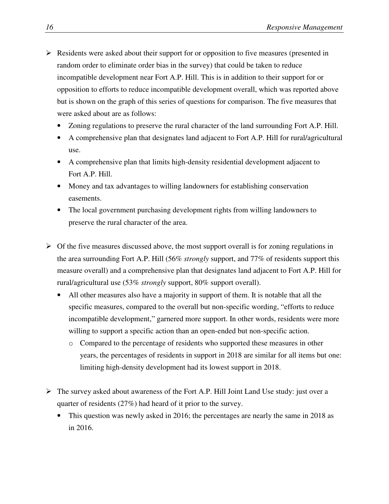- $\triangleright$  Residents were asked about their support for or opposition to five measures (presented in random order to eliminate order bias in the survey) that could be taken to reduce incompatible development near Fort A.P. Hill. This is in addition to their support for or opposition to efforts to reduce incompatible development overall, which was reported above but is shown on the graph of this series of questions for comparison. The five measures that were asked about are as follows:
	- Zoning regulations to preserve the rural character of the land surrounding Fort A.P. Hill.
	- A comprehensive plan that designates land adjacent to Fort A.P. Hill for rural/agricultural use.
	- A comprehensive plan that limits high-density residential development adjacent to Fort A.P. Hill.
	- Money and tax advantages to willing landowners for establishing conservation easements.
	- The local government purchasing development rights from willing landowners to preserve the rural character of the area.
- $\triangleright$  Of the five measures discussed above, the most support overall is for zoning regulations in the area surrounding Fort A.P. Hill (56% *strongly* support, and 77% of residents support this measure overall) and a comprehensive plan that designates land adjacent to Fort A.P. Hill for rural/agricultural use (53% *strongly* support, 80% support overall).
	- All other measures also have a majority in support of them. It is notable that all the specific measures, compared to the overall but non-specific wording, "efforts to reduce incompatible development," garnered more support. In other words, residents were more willing to support a specific action than an open-ended but non-specific action.
		- o Compared to the percentage of residents who supported these measures in other years, the percentages of residents in support in 2018 are similar for all items but one: limiting high-density development had its lowest support in 2018.
- The survey asked about awareness of the Fort A.P. Hill Joint Land Use study: just over a quarter of residents (27%) had heard of it prior to the survey.
	- This question was newly asked in 2016; the percentages are nearly the same in 2018 as in 2016.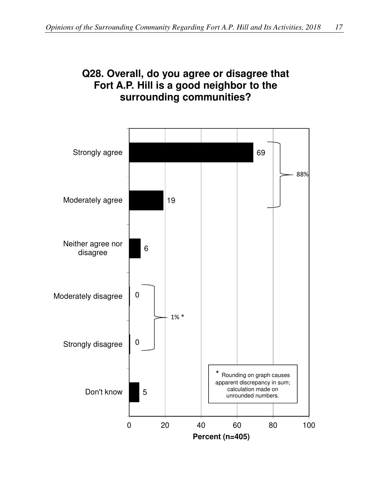## **Q28. Overall, do you agree or disagree that Fort A.P. Hill is a good neighbor to the surrounding communities?**

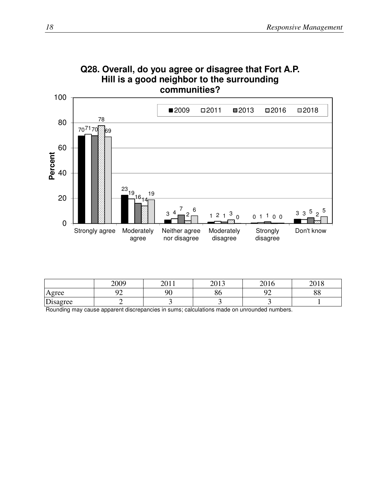

|                | 2009<br>∠∪∪. | $\bigcap$ 1 1<br>2011 | 2012<br>201J        | 2016<br>2010     | 2010<br>2010        |
|----------------|--------------|-----------------------|---------------------|------------------|---------------------|
| Agree          | ∩≏           | 90                    | $\sim$ $\sim$<br>oυ | ∩∩<br>. <u>.</u> | $\Omega$<br>$\circ$ |
| r.<br>Disagree |              |                       |                     |                  |                     |

Rounding may cause apparent discrepancies in sums; calculations made on unrounded numbers.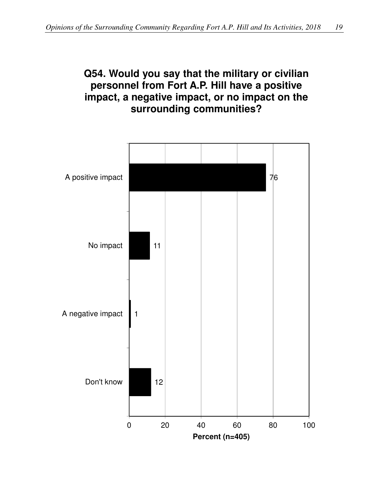## **Q54. Would you say that the military or civilian personnel from Fort A.P. Hill have a positive impact, a negative impact, or no impact on the surrounding communities?**

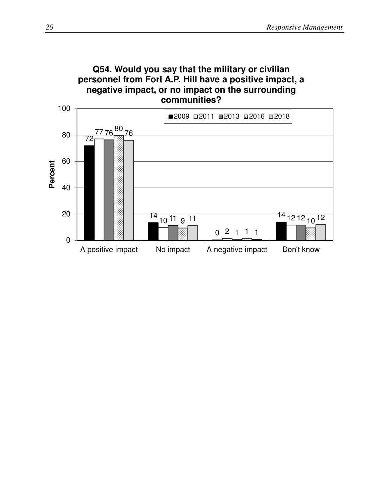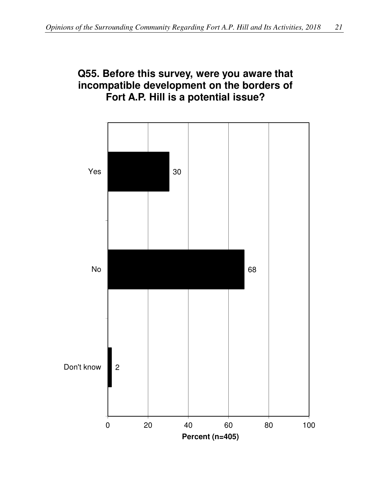## **Q55. Before this survey, were you aware that incompatible development on the borders of Fort A.P. Hill is a potential issue?**

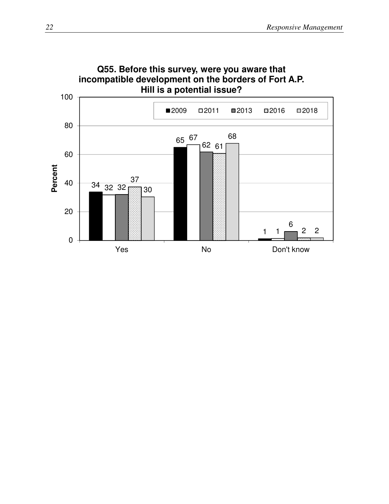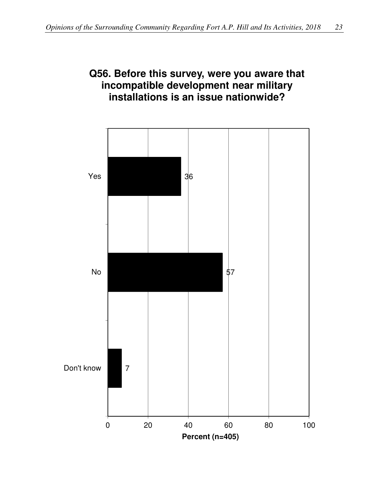## **Q56. Before this survey, were you aware that incompatible development near military installations is an issue nationwide?**

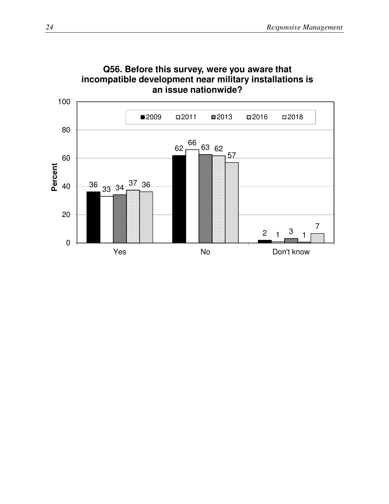

**Q56. Before this survey, were you aware that incompatible development near military installations is**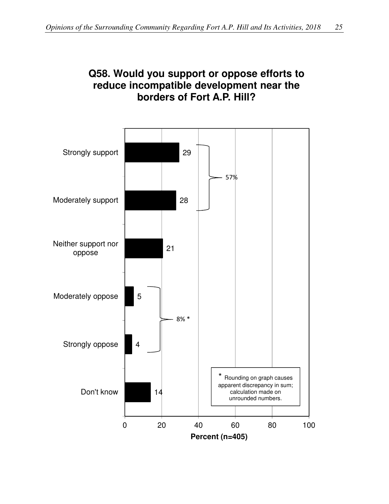

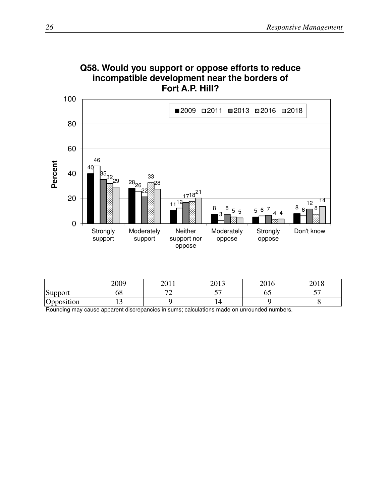

|            | 2009 | 2011<br>∠∪ | 2012<br>201J | 2016<br>2010 | 0.10<br>2010 |
|------------|------|------------|--------------|--------------|--------------|
| Support    | JO   | $\sqrt{2}$ | $ -$         | ∪≂           | $ -$         |
| Opposition | ∸    |            |              |              |              |

Rounding may cause apparent discrepancies in sums; calculations made on unrounded numbers.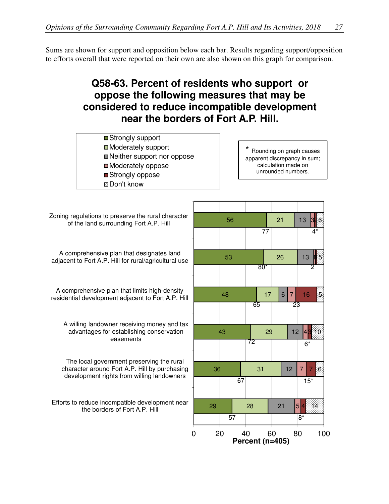Sums are shown for support and opposition below each bar. Results regarding support/opposition to efforts overall that were reported on their own are also shown on this graph for comparison.

# **Q58-63. Percent of residents who support or oppose the following measures that may be considered to reduce incompatible development near the borders of Fort A.P. Hill.**

| ■Strongly support            |
|------------------------------|
| □ Moderately support         |
| ■ Neither support nor oppose |
| □ Moderately oppose          |
| ■Strongly oppose             |
| <b>□</b> Don't know          |

Rounding on graph causes apparent discrepancy in sum; calculation made on unrounded numbers.

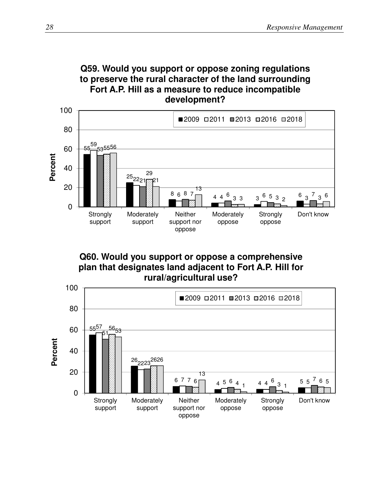



**Q60. Would you support or oppose a comprehensive plan that designates land adjacent to Fort A.P. Hill for rural/agricultural use?**

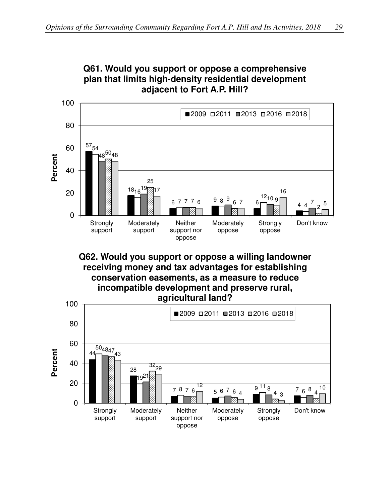**Q61. Would you support or oppose a comprehensive** 



**Q62. Would you support or oppose a willing landowner receiving money and tax advantages for establishing conservation easements, as a measure to reduce incompatible development and preserve rural, agricultural land?**

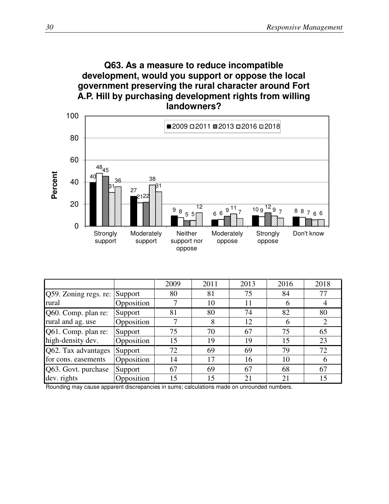



|                       |            | 2009 | 2011 | 2013 | 2016 | 2018 |
|-----------------------|------------|------|------|------|------|------|
| Q59. Zoning regs. re: | Support    | 80   | 81   | 75   | 84   | 77   |
| rural                 | Opposition |      | 10   | 11   |      |      |
| Q60. Comp. plan re:   | Support    | 81   | 80   | 74   | 82   | 80   |
| rural and ag. use     | Opposition |      | 8    | 12   |      |      |
| Q61. Comp. plan re:   | Support    | 75   | 70   | 67   | 75   | 65   |
| high-density dev.     | Opposition | 15   | 19   | 19   | 15   | 23   |
| Q62. Tax advantages   | Support    | 72   | 69   | 69   | 79   | 72   |
| for cons. easements   | Opposition | 14   | 17   | 16   | 10   | h    |
| Q63. Govt. purchase   | Support    | 67   | 69   | 67   | 68   | 67   |
| dev. rights           | Opposition | 15   | 15   | 21   | 21   | 15   |

Rounding may cause apparent discrepancies in sums; calculations made on unrounded numbers.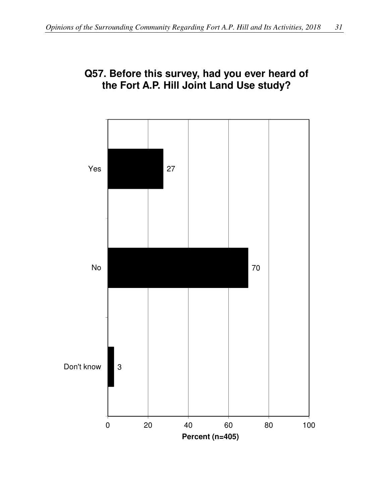

#### **Q57. Before this survey, had you ever heard of the Fort A.P. Hill Joint Land Use study?**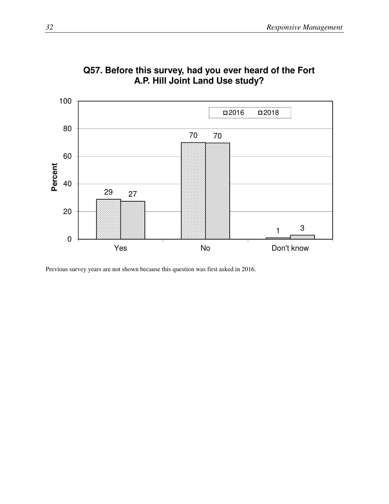

**Q57. Before this survey, had you ever heard of the Fort A.P. Hill Joint Land Use study?**

Previous survey years are not shown because this question was first asked in 2016.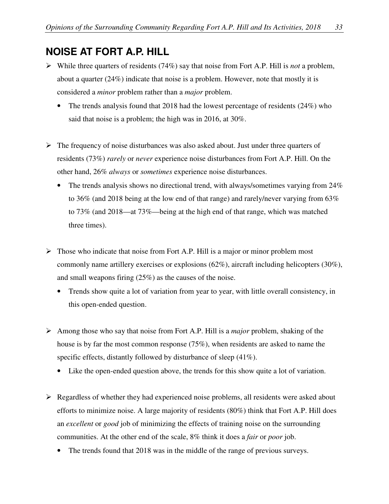# **NOISE AT FORT A.P. HILL**

- While three quarters of residents (74%) say that noise from Fort A.P. Hill is *not* a problem, about a quarter (24%) indicate that noise is a problem. However, note that mostly it is considered a *minor* problem rather than a *major* problem.
	- The trends analysis found that 2018 had the lowest percentage of residents (24%) who said that noise is a problem; the high was in 2016, at 30%.
- $\triangleright$  The frequency of noise disturbances was also asked about. Just under three quarters of residents (73%) *rarely* or *never* experience noise disturbances from Fort A.P. Hill. On the other hand, 26% *always* or *sometimes* experience noise disturbances.
	- The trends analysis shows no directional trend, with always/sometimes varying from 24% to 36% (and 2018 being at the low end of that range) and rarely/never varying from 63% to 73% (and 2018—at 73%—being at the high end of that range, which was matched three times).
- $\triangleright$  Those who indicate that noise from Fort A.P. Hill is a major or minor problem most commonly name artillery exercises or explosions (62%), aircraft including helicopters (30%), and small weapons firing (25%) as the causes of the noise.
	- Trends show quite a lot of variation from year to year, with little overall consistency, in this open-ended question.
- Among those who say that noise from Fort A.P. Hill is a *major* problem, shaking of the house is by far the most common response (75%), when residents are asked to name the specific effects, distantly followed by disturbance of sleep (41%).
	- Like the open-ended question above, the trends for this show quite a lot of variation.
- $\triangleright$  Regardless of whether they had experienced noise problems, all residents were asked about efforts to minimize noise. A large majority of residents (80%) think that Fort A.P. Hill does an *excellent* or *good* job of minimizing the effects of training noise on the surrounding communities. At the other end of the scale, 8% think it does a *fair* or *poor* job.
	- The trends found that 2018 was in the middle of the range of previous surveys.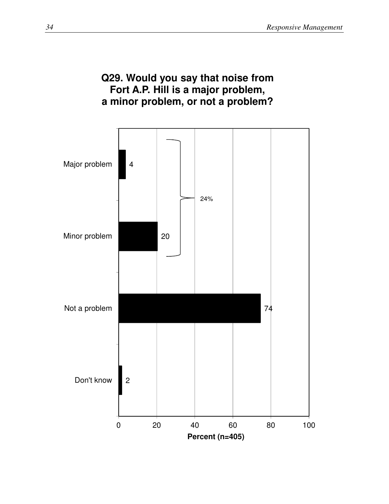#### **Q29. Would you say that noise from Fort A.P. Hill is a major problem, a minor problem, or not a problem?**

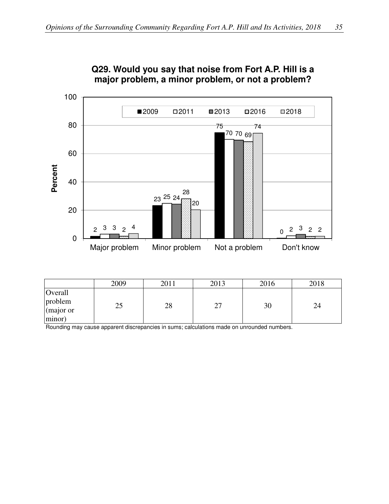

#### **Q29. Would you say that noise from Fort A.P. Hill is a major problem, a minor problem, or not a problem?**

|                                           | 2009      | 2011 | 2013      | 2016 | 2018 |
|-------------------------------------------|-----------|------|-----------|------|------|
| Overall<br>problem<br>(major or<br>minor) | ∩-.<br>رے | 28   | つつ<br>ا ک | 30   | 24   |

Rounding may cause apparent discrepancies in sums; calculations made on unrounded numbers.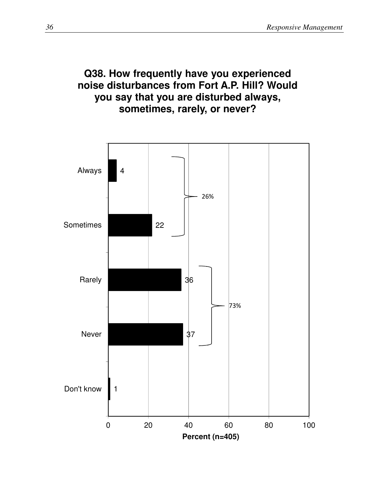#### **Q38. How frequently have you experienced noise disturbances from Fort A.P. Hill? Would you say that you are disturbed always, sometimes, rarely, or never?**

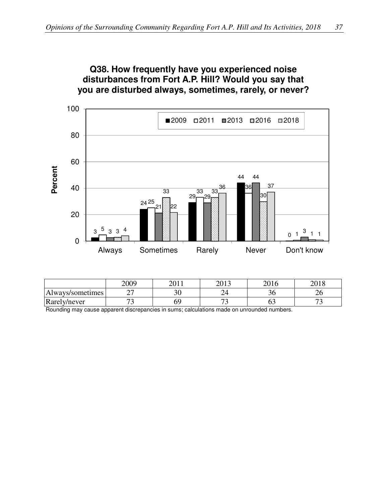**Q38. How frequently have you experienced noise** 



|                  | 2009     | 2011 | $\bigcap$ 1.2<br>40 L | 2016 | 2010<br>∠∪     |
|------------------|----------|------|-----------------------|------|----------------|
| Always/sometimes | ~ ~<br>- | υv   |                       | υU   | ∠∪             |
| Rarely/never     |          |      | --                    | ∪≂   | $\overline{ }$ |

Rounding may cause apparent discrepancies in sums; calculations made on unrounded numbers.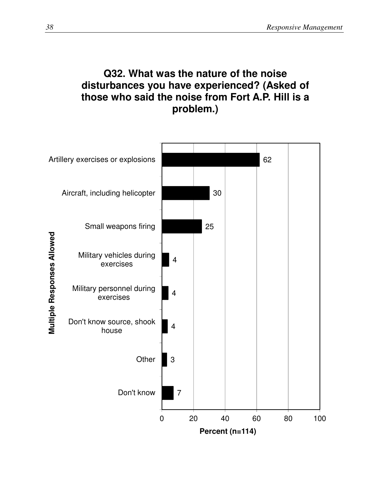# **Q32. What was the nature of the noise disturbances you have experienced? (Asked of those who said the noise from Fort A.P. Hill is a problem.)**

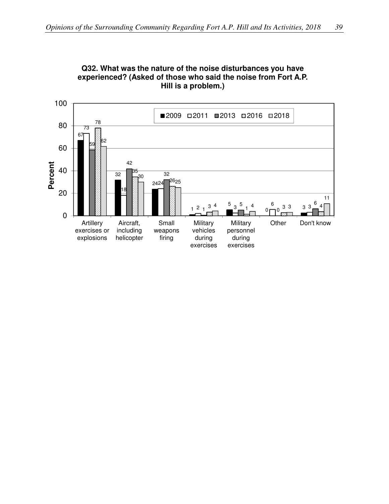

**Q32. What was the nature of the noise disturbances you have experienced? (Asked of those who said the noise from Fort A.P. Hill is a problem.)**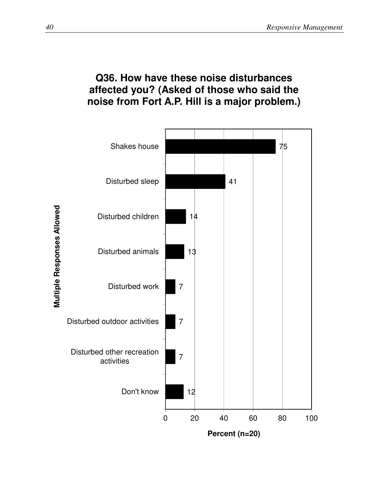#### **Q36. How have these noise disturbances affected you? (Asked of those who said the noise from Fort A.P. Hill is a major problem.)**

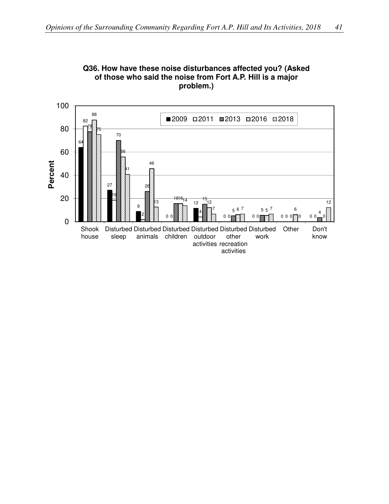

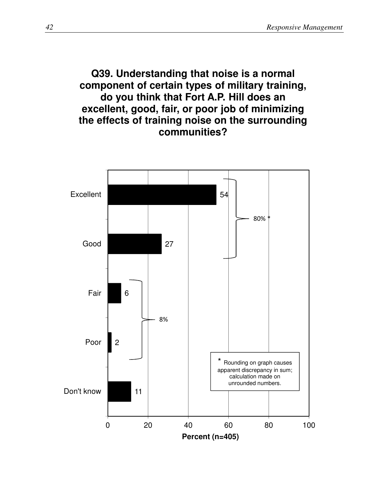#### **Q39. Understanding that noise is a normal component of certain types of military training, do you think that Fort A.P. Hill does an excellent, good, fair, or poor job of minimizing the effects of training noise on the surrounding communities?**

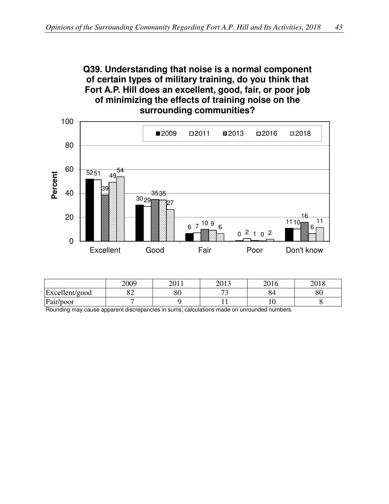



|                | 2009     | 2011<br>∠∪ | $\mathbf{2012}$ | 2016<br>h<br>↩ | 2010<br>ΔU |
|----------------|----------|------------|-----------------|----------------|------------|
| Excellent/good | ∩∩<br>ັ້ | ററ<br>ου   | — r<br>. .      | OЧ             | υv         |
| Fair/poor      |          |            |                 |                |            |

Rounding may cause apparent discrepancies in sums; calculations made on unrounded numbers.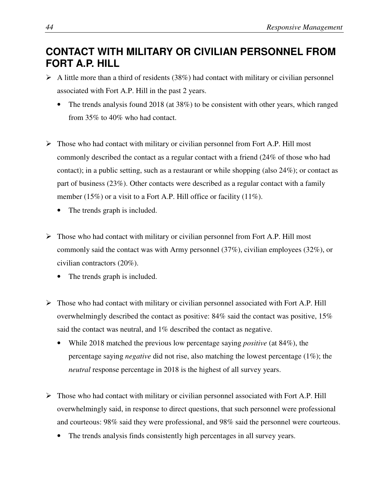#### **CONTACT WITH MILITARY OR CIVILIAN PERSONNEL FROM FORT A.P. HILL**

- $\triangleright$  A little more than a third of residents (38%) had contact with military or civilian personnel associated with Fort A.P. Hill in the past 2 years.
	- The trends analysis found 2018 (at 38%) to be consistent with other years, which ranged from 35% to 40% who had contact.
- $\triangleright$  Those who had contact with military or civilian personnel from Fort A.P. Hill most commonly described the contact as a regular contact with a friend (24% of those who had contact); in a public setting, such as a restaurant or while shopping (also 24%); or contact as part of business (23%). Other contacts were described as a regular contact with a family member (15%) or a visit to a Fort A.P. Hill office or facility (11%).
	- The trends graph is included.
- $\triangleright$  Those who had contact with military or civilian personnel from Fort A.P. Hill most commonly said the contact was with Army personnel (37%), civilian employees (32%), or civilian contractors (20%).
	- The trends graph is included.
- $\triangleright$  Those who had contact with military or civilian personnel associated with Fort A.P. Hill overwhelmingly described the contact as positive: 84% said the contact was positive, 15% said the contact was neutral, and 1% described the contact as negative.
	- While 2018 matched the previous low percentage saying *positive* (at 84%), the percentage saying *negative* did not rise, also matching the lowest percentage (1%); the *neutral* response percentage in 2018 is the highest of all survey years.
- $\triangleright$  Those who had contact with military or civilian personnel associated with Fort A.P. Hill overwhelmingly said, in response to direct questions, that such personnel were professional and courteous: 98% said they were professional, and 98% said the personnel were courteous.
	- The trends analysis finds consistently high percentages in all survey years.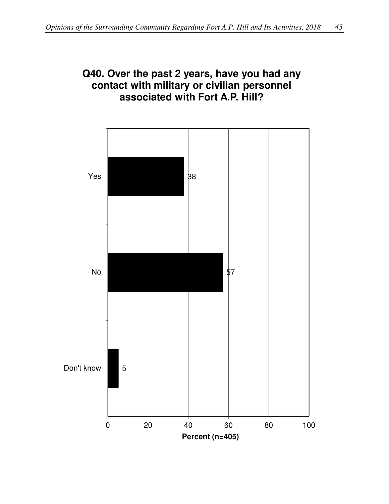#### **Q40. Over the past 2 years, have you had any contact with military or civilian personnel associated with Fort A.P. Hill?**

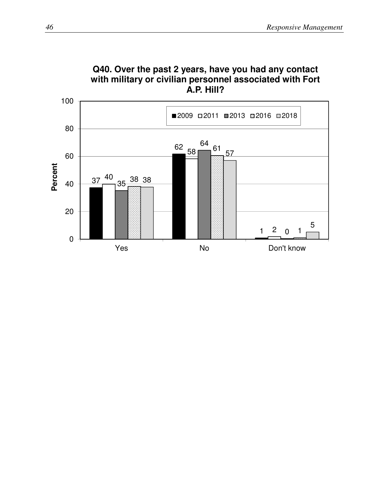

# **Q40. Over the past 2 years, have you had any contact with military or civilian personnel associated with Fort**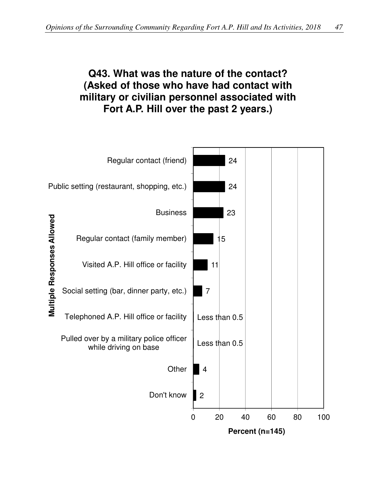# **Q43. What was the nature of the contact? (Asked of those who have had contact with military or civilian personnel associated with Fort A.P. Hill over the past 2 years.)**

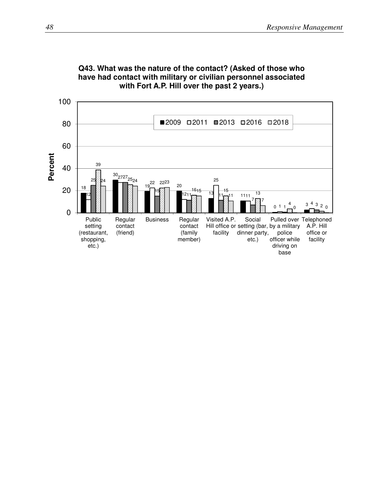

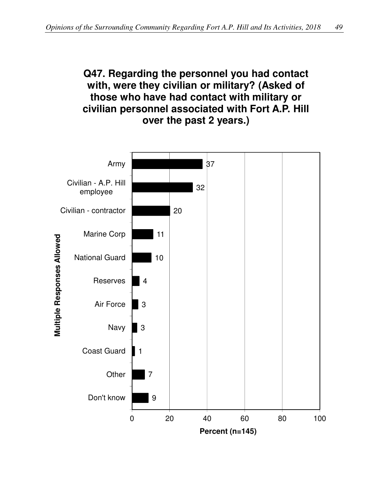#### **Q47. Regarding the personnel you had contact with, were they civilian or military? (Asked of those who have had contact with military or civilian personnel associated with Fort A.P. Hill over the past 2 years.)**

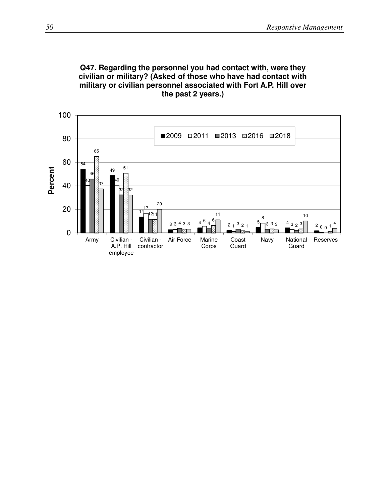

employee

#### **Q47. Regarding the personnel you had contact with, were they civilian or military? (Asked of those who have had contact with military or civilian personnel associated with Fort A.P. Hill over the past 2 years.)**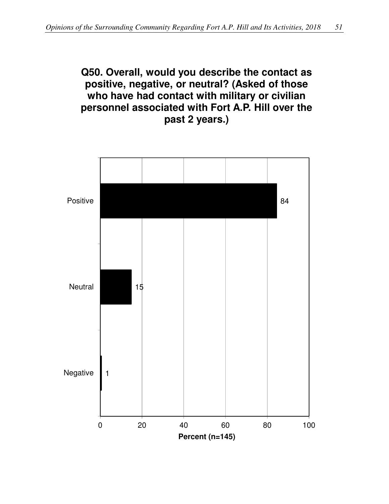#### **Q50. Overall, would you describe the contact as positive, negative, or neutral? (Asked of those who have had contact with military or civilian personnel associated with Fort A.P. Hill over the past 2 years.)**

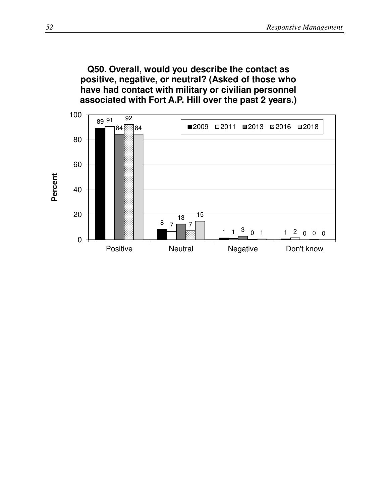**Q50. Overall, would you describe the contact as positive, negative, or neutral? (Asked of those who have had contact with military or civilian personnel associated with Fort A.P. Hill over the past 2 years.)**

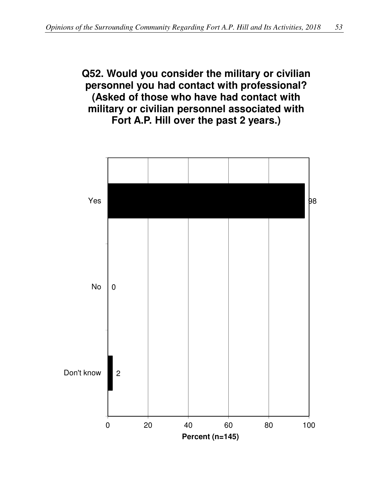#### **Q52. Would you consider the military or civilian personnel you had contact with professional? (Asked of those who have had contact with military or civilian personnel associated with Fort A.P. Hill over the past 2 years.)**

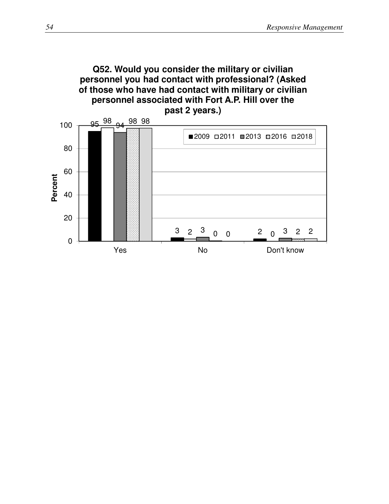

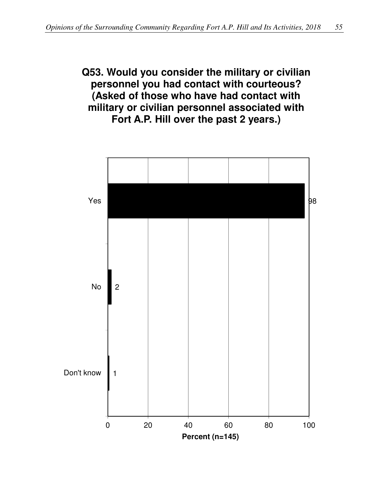#### **Q53. Would you consider the military or civilian personnel you had contact with courteous? (Asked of those who have had contact with military or civilian personnel associated with Fort A.P. Hill over the past 2 years.)**

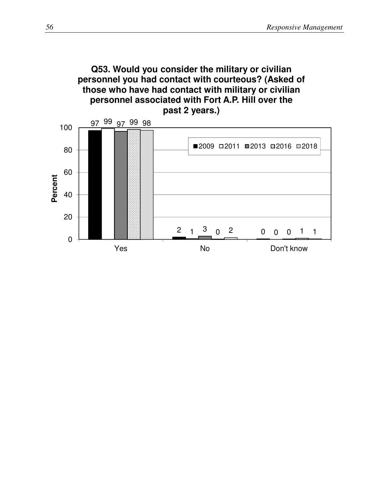#### **Q53. Would you consider the military or civilian personnel you had contact with courteous? (Asked of those who have had contact with military or civilian personnel associated with Fort A.P. Hill over the past 2 years.)**

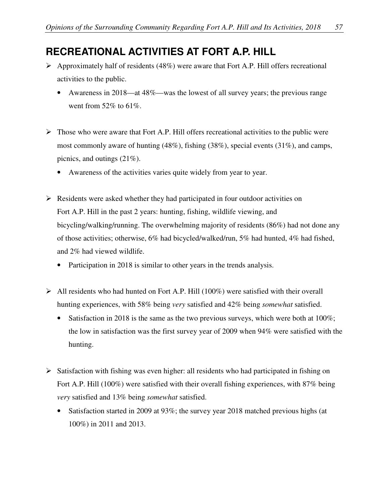# **RECREATIONAL ACTIVITIES AT FORT A.P. HILL**

- $\triangleright$  Approximately half of residents (48%) were aware that Fort A.P. Hill offers recreational activities to the public.
	- Awareness in 2018—at 48%—was the lowest of all survey years; the previous range went from  $52\%$  to  $61\%$ .
- $\triangleright$  Those who were aware that Fort A.P. Hill offers recreational activities to the public were most commonly aware of hunting (48%), fishing (38%), special events (31%), and camps, picnics, and outings (21%).
	- Awareness of the activities varies quite widely from year to year.
- $\triangleright$  Residents were asked whether they had participated in four outdoor activities on Fort A.P. Hill in the past 2 years: hunting, fishing, wildlife viewing, and bicycling/walking/running. The overwhelming majority of residents (86%) had not done any of those activities; otherwise, 6% had bicycled/walked/run, 5% had hunted, 4% had fished, and 2% had viewed wildlife.
	- Participation in 2018 is similar to other years in the trends analysis.
- $\triangleright$  All residents who had hunted on Fort A.P. Hill (100%) were satisfied with their overall hunting experiences, with 58% being *very* satisfied and 42% being *somewhat* satisfied.
	- Satisfaction in 2018 is the same as the two previous surveys, which were both at  $100\%$ ; the low in satisfaction was the first survey year of 2009 when 94% were satisfied with the hunting.
- $\triangleright$  Satisfaction with fishing was even higher: all residents who had participated in fishing on Fort A.P. Hill (100%) were satisfied with their overall fishing experiences, with 87% being *very* satisfied and 13% being *somewhat* satisfied.
	- Satisfaction started in 2009 at 93%; the survey year 2018 matched previous highs (at 100%) in 2011 and 2013.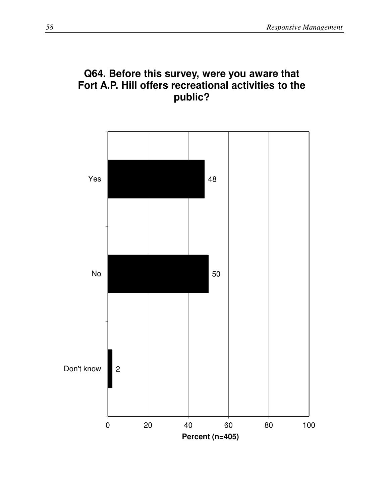

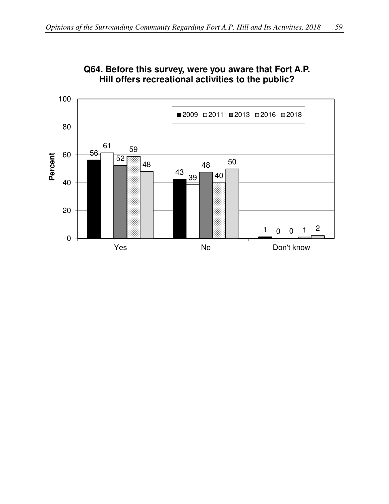

#### **Q64. Before this survey, were you aware that Fort A.P. Hill offers recreational activities to the public?**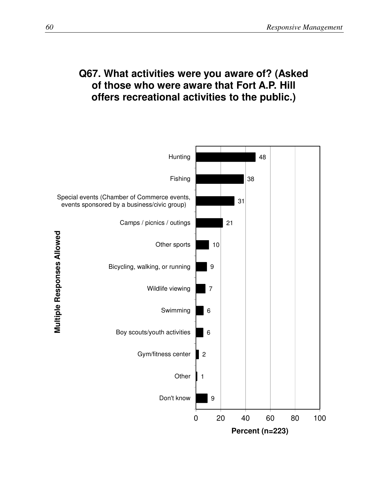#### **Q67. What activities were you aware of? (Asked of those who were aware that Fort A.P. Hill offers recreational activities to the public.)**

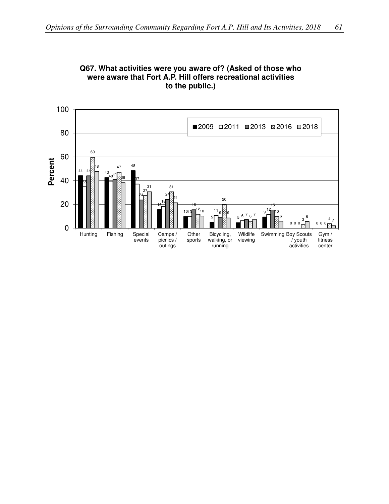

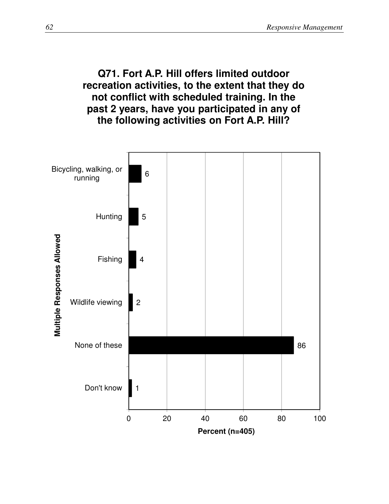#### **Q71. Fort A.P. Hill offers limited outdoor recreation activities, to the extent that they do not conflict with scheduled training. In the past 2 years, have you participated in any of the following activities on Fort A.P. Hill?**

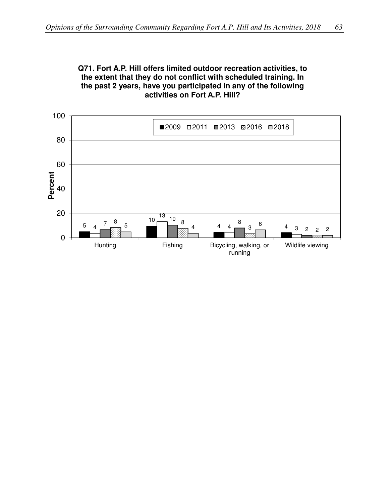

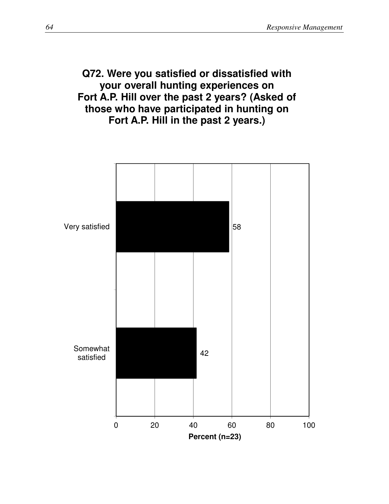## **Q72. Were you satisfied or dissatisfied with your overall hunting experiences on Fort A.P. Hill over the past 2 years? (Asked of those who have participated in hunting on Fort A.P. Hill in the past 2 years.)**

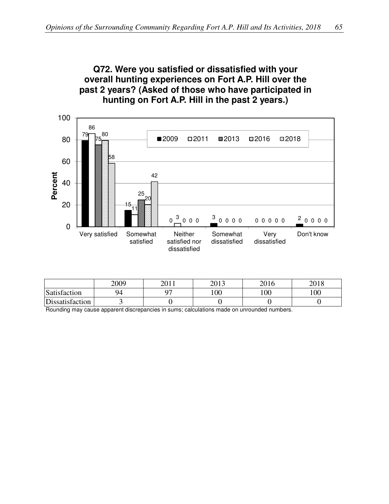#### **Q72. Were you satisfied or dissatisfied with your overall hunting experiences on Fort A.P. Hill over the past 2 years? (Asked of those who have participated in hunting on Fort A.P. Hill in the past 2 years.)**



|                 | 2009 | 2011<br>20 H | 2013 | 2016 | 2010<br>2010 |
|-----------------|------|--------------|------|------|--------------|
| Satisfaction    | 94   | ∩−           | 100  | 100  | 100          |
| Dissatisfaction |      |              |      |      |              |

Rounding may cause apparent discrepancies in sums; calculations made on unrounded numbers.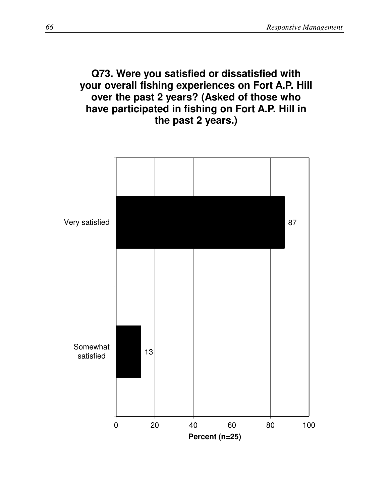## **Q73. Were you satisfied or dissatisfied with your overall fishing experiences on Fort A.P. Hill over the past 2 years? (Asked of those who have participated in fishing on Fort A.P. Hill in the past 2 years.)**

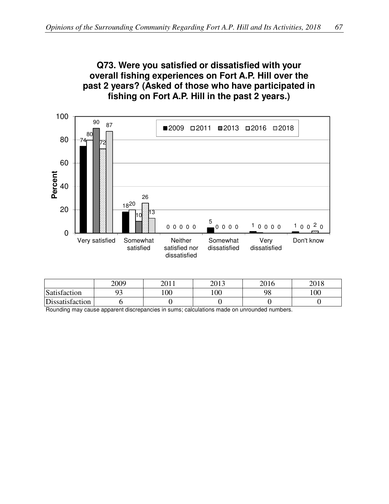#### **Q73. Were you satisfied or dissatisfied with your overall fishing experiences on Fort A.P. Hill over the past 2 years? (Asked of those who have participated in fishing on Fort A.P. Hill in the past 2 years.)**



|                 | 2009 | 2011 | 2013 | 2016 | 2018 |
|-----------------|------|------|------|------|------|
| Satisfaction    | ΩC   | 100  | 100  | 98   | 100  |
| Dissatisfaction |      |      |      |      |      |

Rounding may cause apparent discrepancies in sums; calculations made on unrounded numbers.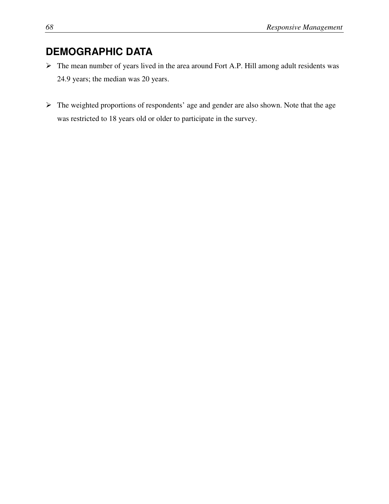# **DEMOGRAPHIC DATA**

- The mean number of years lived in the area around Fort A.P. Hill among adult residents was 24.9 years; the median was 20 years.
- $\triangleright$  The weighted proportions of respondents' age and gender are also shown. Note that the age was restricted to 18 years old or older to participate in the survey.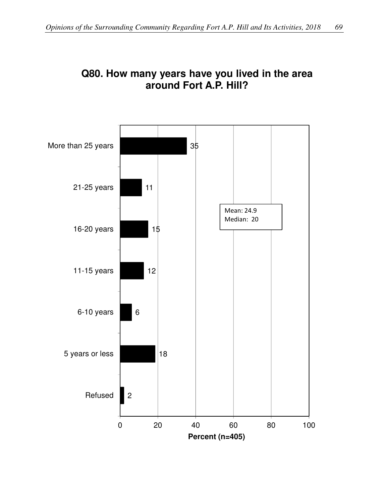

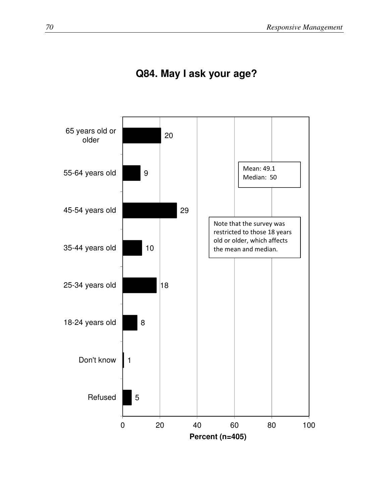

# **Q84. May I ask your age?**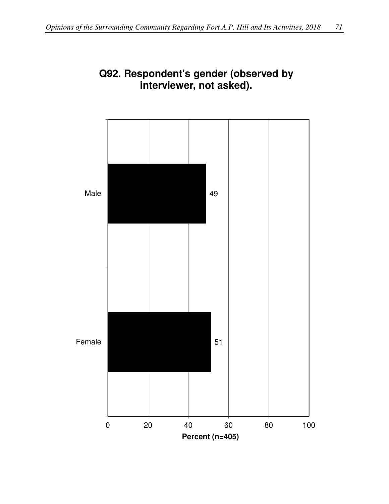

## **Q92. Respondent's gender (observed by interviewer, not asked).**